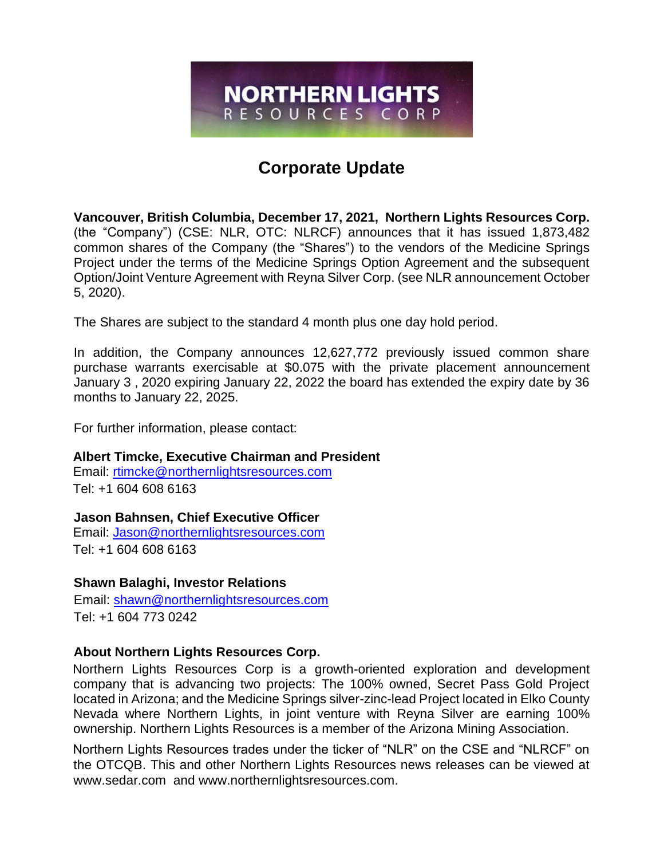# **Corporate Update**

**NORTHERN LIGHTS** RESOURCES CORP

**Vancouver, British Columbia, December 17, 2021, Northern Lights Resources Corp.** (the "Company") (CSE: NLR, OTC: NLRCF) announces that it has issued 1,873,482 common shares of the Company (the "Shares") to the vendors of the Medicine Springs Project under the terms of the Medicine Springs Option Agreement and the subsequent Option/Joint Venture Agreement with Reyna Silver Corp. (see NLR announcement October 5, 2020).

The Shares are subject to the standard 4 month plus one day hold period.

In addition, the Company announces 12,627,772 previously issued common share purchase warrants exercisable at \$0.075 with the private placement announcement January 3 , 2020 expiring January 22, 2022 the board has extended the expiry date by 36 months to January 22, 2025.

For further information, please contact:

# **Albert Timcke, Executive Chairman and President**

Email: rtimcke@northernlightsresources.com Tel: +1 604 608 6163

### **Jason Bahnsen, Chief Executive Officer**

Email: Jason@northernlightsresources.com Tel: +1 604 608 6163

# **Shawn Balaghi, Investor Relations**

Email: [shawn@northernlightsresources.com](mailto:shawn@northernlightsresources.com) Tel: +1 604 773 0242

# **About Northern Lights Resources Corp.**

Northern Lights Resources Corp is a growth-oriented exploration and development company that is advancing two projects: The 100% owned, Secret Pass Gold Project located in Arizona; and the Medicine Springs silver-zinc-lead Project located in Elko County Nevada where Northern Lights, in joint venture with Reyna Silver are earning 100% ownership. Northern Lights Resources is a member of the Arizona Mining Association.

Northern Lights Resources trades under the ticker of "NLR" on the CSE and "NLRCF" on the OTCQB. This and other Northern Lights Resources news releases can be viewed at [www.sedar.com](http://www.sedar.com/) and [www.northernlightsresources.com.](http://www.northernlightsresources.com/)